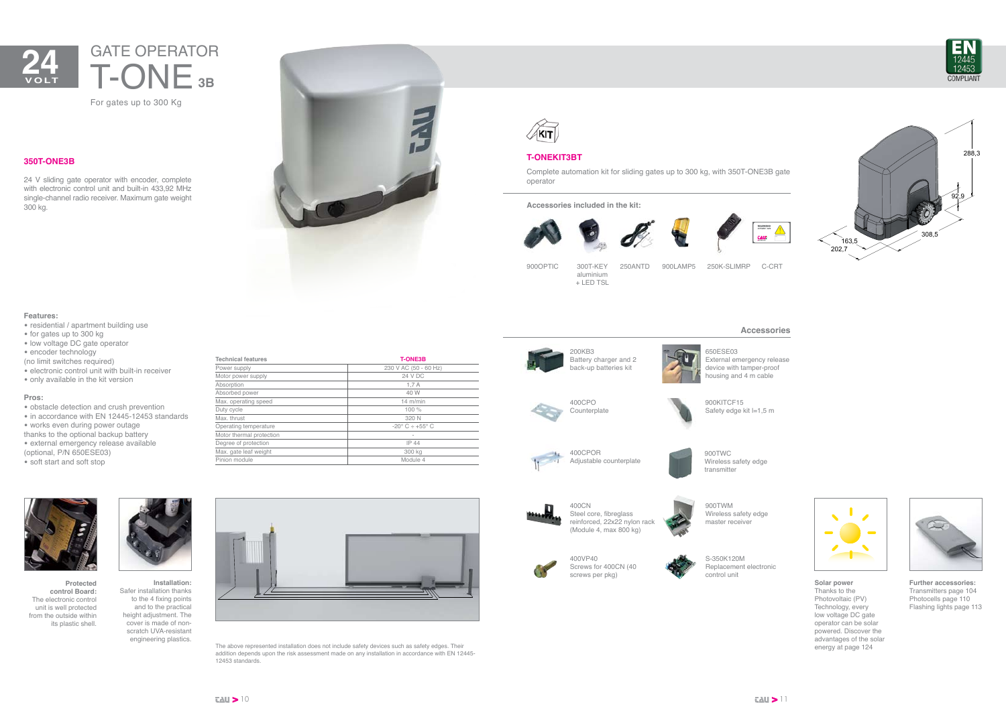

## **Accessories**



**Further accessories:** Transmitters page 104 Photocells page 110 Flashing lights page 113



U

**Solar power** Thanks to the Photovoltaic (PV) Technology, every low voltage DC gate operator can be solar powered. Discover the advantages of the solar energy at page 124





900KITCF15 Safety edge kit l=1,5 m





650ESE03 External emergency release device with tamper-proof housing and 4 m cable



Steel core, fibreglass reinforced, 22x22 nylon rack (Module 4, max 800 kg)

400VP40 Screws for 400CN (40 screws per pkg)

S-350K120M Replacement electronic control unit

900TWC Wireless safety edge transmitter

900TWM Wireless safety edge master receiver

# **T-ONEKIT3BT**

Complete automation kit for sliding gates up to 300 kg, with 350T-ONE3B gate operator

**Accessories included in the kit:**





900OPTIC 300T-KEY

aluminium + LED TSL

250ANTD 900LAMP5 250K-SLIMRP C-CRT

# **350T-ONE3B**

24 V sliding gate operator with encoder, complete with electronic control unit and built-in 433,92 MHz single-channel radio receiver. Maximum gate weight 300 kg.



### **Features:**

- residential / apartment building use
- for gates up to 300 kg
- low voltage DC gate operator

• encoder technology

(no limit switches required)

- electronic control unit with built-in receiver
- only available in the kit version

### **Pros:**

- obstacle detection and crush prevention
- in accordance with EN 12445-12453 standards
- works even during power outage
- thanks to the optional backup battery
- external emergency release available (optional, P/N 650ESE03)
- soft start and soft stop

For gates up to 300 Kg

# **3B** GATE OPERATOR T-ONE



**Protected control Board:** The electronic control unit is well protected from the outside within its plastic shell.



scratch UVA-resistant engineering plastics.

The above represented installation does not include safety devices such as safety edges. Their addition depends upon the risk assessment made on any installation in accordance with EN 12445- 12453 standards.







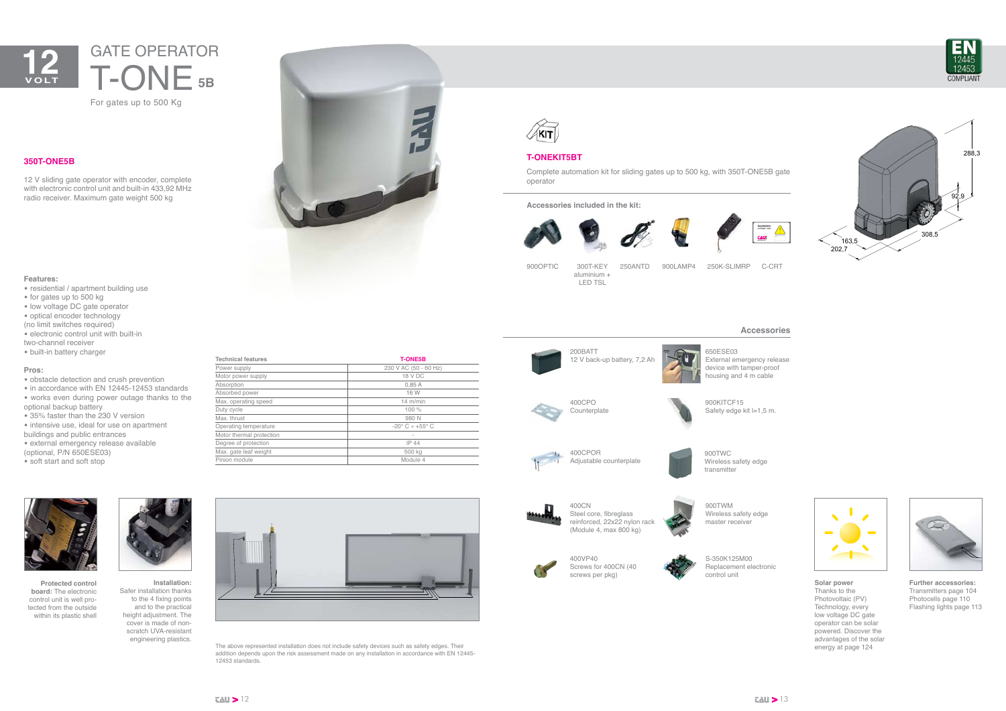

FU.







650ESE03 External emergency release device with tamper-proof housing and 4 m cable



900KITCF15 Safety edge kit l=1,5 m.



Steel core, fibreglass reinforced, 22x22 nylon rack (Module 4, max 800 kg)



S-350K125M00 Replacement electronic control unit

900TWC Wireless safety edge transmitter

900TWM

Wireless safety edge



master receiver

# **T-ONEKIT5BT**

Complete automation kit for sliding gates up to 500 kg, with 350T-ONE5B gate operator

**Accessories included in the kit:**





900OPTIC 300T-KEY

aluminium + LED TSL

250ANTD 900LAMP4 250K-SLIMRP C-CRT

## **350T-ONE5B**

12 V sliding gate operator with encoder, complete with electronic control unit and built-in 433,92 MHz radio receiver. Maximum gate weight 500 kg





- residential / apartment building use
- for gates up to 500 kg
- low voltage DC gate operator
- optical encoder technology
- (no limit switches required)
- electronic control unit with built-in
- two-channel receiver
- built-in battery charger

### **Pros:**

- obstacle detection and crush prevention
- in accordance with EN 12445-12453 standards
- works even during power outage thanks to the optional backup battery
- 35% faster than the 230 V version • intensive use, ideal for use on apartment
- buildings and public entrances
- external emergency release available (optional, P/N 650ESE03)
- soft start and soft stop

# For gates up to 500 Kg **5B** GATE OPERATOR T-ONE



**Protected control board:** The electronic control unit is well protected from the outside within its plastic shell



**Installation:**  Safer installation thanks to the 4 fixing points and to the practical height adjustment. The cover is made of nonscratch UVA-resistant engineering plastics.

The above represented installation does not include safety devices such as safety edges. Their



addition depends upon the risk assessment made on any installation in accordance with EN 12445-



12453 standards.





| <b>Technical features</b> | <b>T-ONE5B</b>                |  |
|---------------------------|-------------------------------|--|
| Power supply              | 230 V AC (50 - 60 Hz)         |  |
| Motor power supply        | 18 V DC                       |  |
| Absorption                | 0,85A                         |  |
| Absorbed power            | 16 W                          |  |
| Max. operating speed      | $14$ m/min                    |  |
| Duty cycle                | 100 %                         |  |
| Max. thrust               | 980 N                         |  |
| Operating temperature     | $-20^{\circ}$ C $\div$ +55° C |  |
| Motor thermal protection  | ۰                             |  |
| Degree of protection      | IP 44                         |  |
| Max. gate leaf weight     | 500 kg                        |  |
| Pinion module             | Module 4                      |  |
|                           |                               |  |

**Further accessories:** Transmitters page 104 Photocells page 110 Flashing lights page 113

**Solar power** Thanks to the Photovoltaic (PV) Technology, every low voltage DC gate operator can be solar powered. Discover the advantages of the solar energy at page 124



## **Accessories**